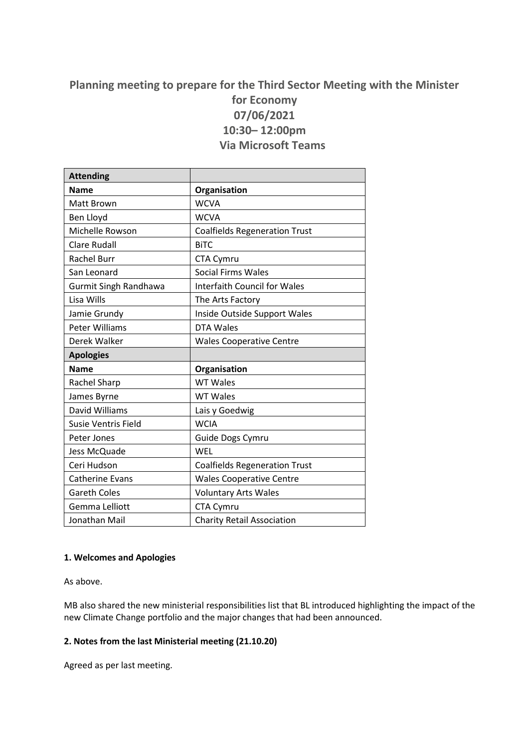# **Planning meeting to prepare for the Third Sector Meeting with the Minister for Economy 07/06/2021 10:30– 12:00pm Via Microsoft Teams**

| <b>Attending</b>             |                                      |
|------------------------------|--------------------------------------|
| <b>Name</b>                  | Organisation                         |
| <b>Matt Brown</b>            | <b>WCVA</b>                          |
| Ben Lloyd                    | <b>WCVA</b>                          |
| Michelle Rowson              | <b>Coalfields Regeneration Trust</b> |
| <b>Clare Rudall</b>          | <b>BiTC</b>                          |
| <b>Rachel Burr</b>           | CTA Cymru                            |
| San Leonard                  | <b>Social Firms Wales</b>            |
| <b>Gurmit Singh Randhawa</b> | <b>Interfaith Council for Wales</b>  |
| Lisa Wills                   | The Arts Factory                     |
| Jamie Grundy                 | Inside Outside Support Wales         |
| Peter Williams               | <b>DTA Wales</b>                     |
| Derek Walker                 | <b>Wales Cooperative Centre</b>      |
| <b>Apologies</b>             |                                      |
| <b>Name</b>                  | Organisation                         |
| Rachel Sharp                 | <b>WT Wales</b>                      |
| James Byrne                  | <b>WT Wales</b>                      |
| David Williams               | Lais y Goedwig                       |
| <b>Susie Ventris Field</b>   | <b>WCIA</b>                          |
| Peter Jones                  | Guide Dogs Cymru                     |
| Jess McQuade                 | WEL                                  |
| Ceri Hudson                  | <b>Coalfields Regeneration Trust</b> |
| <b>Catherine Evans</b>       | <b>Wales Cooperative Centre</b>      |
| <b>Gareth Coles</b>          | <b>Voluntary Arts Wales</b>          |
| Gemma Lelliott               | CTA Cymru                            |
| Jonathan Mail                | <b>Charity Retail Association</b>    |

## **1. Welcomes and Apologies**

As above.

MB also shared the new ministerial responsibilities list that BL introduced highlighting the impact of the new Climate Change portfolio and the major changes that had been announced.

## **2. Notes from the last Ministerial meeting (21.10.20)**

Agreed as per last meeting.